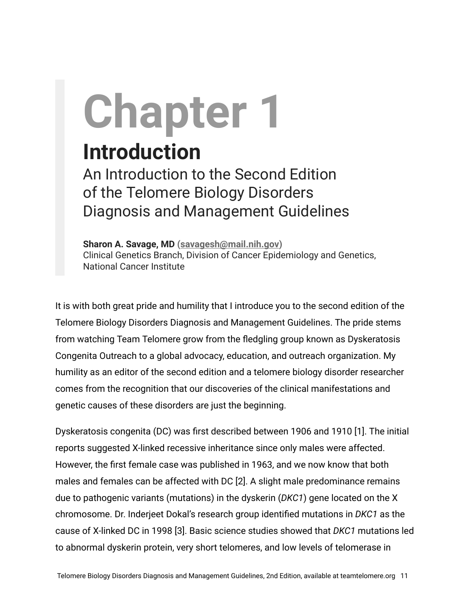## **Chapter 1**

## **Introduction**

An Introduction to the Second Edition of the Telomere Biology Disorders Diagnosis and Management Guidelines

**Sharon A. Savage, MD ([savagesh@mail.nih.gov\)](mailto:savagesh@mail.nih.gov)** Clinical Genetics Branch, Division of Cancer Epidemiology and Genetics, National Cancer Institute

It is with both great pride and humility that I introduce you to the second edition of the Telomere Biology Disorders Diagnosis and Management Guidelines. The pride stems from watching Team Telomere grow from the fledgling group known as Dyskeratosis Congenita Outreach to a global advocacy, education, and outreach organization. My humility as an editor of the second edition and a telomere biology disorder researcher comes from the recognition that our discoveries of the clinical manifestations and genetic causes of these disorders are just the beginning.

Dyskeratosis congenita (DC) was first described between 1906 and 1910 [1]. The initial reports suggested X-linked recessive inheritance since only males were affected. However, the first female case was published in 1963, and we now know that both males and females can be affected with DC [2]. A slight male predominance remains due to pathogenic variants (mutations) in the dyskerin (*DKC1*) gene located on the X chromosome. Dr. Inderjeet Dokal's research group identified mutations in *DKC1* as the cause of X-linked DC in 1998 [3]. Basic science studies showed that *DKC1* mutations led to abnormal dyskerin protein, very short telomeres, and low levels of telomerase in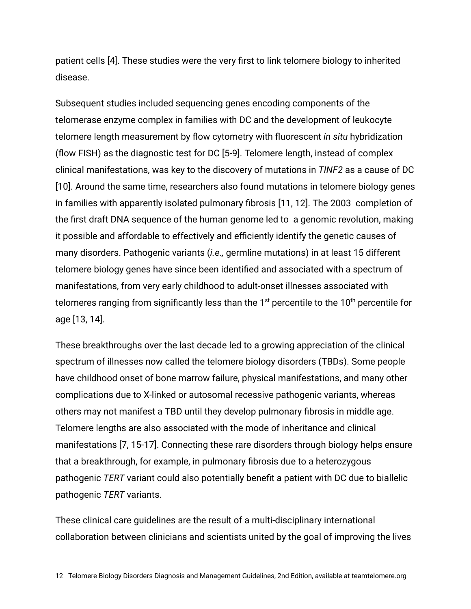patient cells [4]. These studies were the very first to link telomere biology to inherited disease.

Subsequent studies included sequencing genes encoding components of the telomerase enzyme complex in families with DC and the development of leukocyte telomere length measurement by flow cytometry with fluorescent *in situ* hybridization (flow FISH) as the diagnostic test for DC [5-9]. Telomere length, instead of complex clinical manifestations, was key to the discovery of mutations in *TINF2* as a cause of DC [10]. Around the same time, researchers also found mutations in telomere biology genes in families with apparently isolated pulmonary fibrosis [11, 12]. The 2003 completion of the first draft DNA sequence of the human genome led to a genomic revolution, making it possible and affordable to effectively and efficiently identify the genetic causes of many disorders. Pathogenic variants (*i.e.,* germline mutations) in at least 15 different telomere biology genes have since been identified and associated with a spectrum of manifestations, from very early childhood to adult-onset illnesses associated with telomeres ranging from significantly less than the  $1<sup>st</sup>$  percentile to the  $10<sup>th</sup>$  percentile for age [13, 14].

These breakthroughs over the last decade led to a growing appreciation of the clinical spectrum of illnesses now called the telomere biology disorders (TBDs). Some people have childhood onset of bone marrow failure, physical manifestations, and many other complications due to X-linked or autosomal recessive pathogenic variants, whereas others may not manifest a TBD until they develop pulmonary fibrosis in middle age. Telomere lengths are also associated with the mode of inheritance and clinical manifestations [7, 15-17]. Connecting these rare disorders through biology helps ensure that a breakthrough, for example, in pulmonary fibrosis due to a heterozygous pathogenic *TERT* variant could also potentially benefit a patient with DC due to biallelic pathogenic *TERT* variants.

These clinical care guidelines are the result of a multi-disciplinary international collaboration between clinicians and scientists united by the goal of improving the lives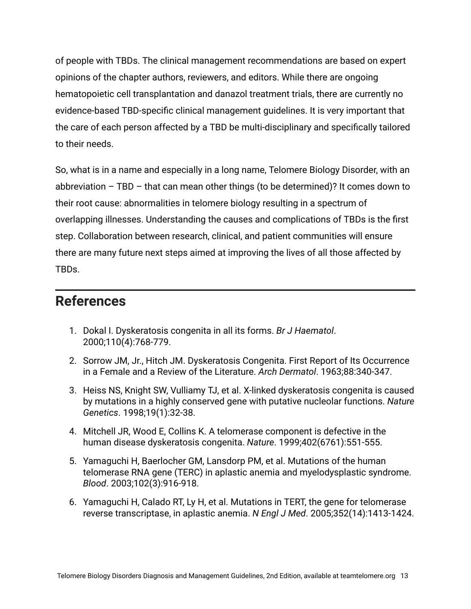of people with TBDs. The clinical management recommendations are based on expert opinions of the chapter authors, reviewers, and editors. While there are ongoing hematopoietic cell transplantation and danazol treatment trials, there are currently no evidence-based TBD-specific clinical management guidelines. It is very important that the care of each person affected by a TBD be multi-disciplinary and specifically tailored to their needs.

So, what is in a name and especially in a long name, Telomere Biology Disorder, with an abbreviation  $-$  TBD  $-$  that can mean other things (to be determined)? It comes down to their root cause: abnormalities in telomere biology resulting in a spectrum of overlapping illnesses. Understanding the causes and complications of TBDs is the first step. Collaboration between research, clinical, and patient communities will ensure there are many future next steps aimed at improving the lives of all those affected by TBDs.

## **References**

- 1. Dokal I. Dyskeratosis congenita in all its forms. *Br J Haematol*. 2000;110(4):768-779.
- 2. Sorrow JM, Jr., Hitch JM. Dyskeratosis Congenita. First Report of Its Occurrence in a Female and a Review of the Literature. *Arch Dermatol*. 1963;88:340-347.
- 3. Heiss NS, Knight SW, Vulliamy TJ, et al. X-linked dyskeratosis congenita is caused by mutations in a highly conserved gene with putative nucleolar functions. *Nature Genetics*. 1998;19(1):32-38.
- 4. Mitchell JR, Wood E, Collins K. A telomerase component is defective in the human disease dyskeratosis congenita. *Nature*. 1999;402(6761):551-555.
- 5. Yamaguchi H, Baerlocher GM, Lansdorp PM, et al. Mutations of the human telomerase RNA gene (TERC) in aplastic anemia and myelodysplastic syndrome. *Blood*. 2003;102(3):916-918.
- 6. Yamaguchi H, Calado RT, Ly H, et al. Mutations in TERT, the gene for telomerase reverse transcriptase, in aplastic anemia. *N Engl J Med*. 2005;352(14):1413-1424.